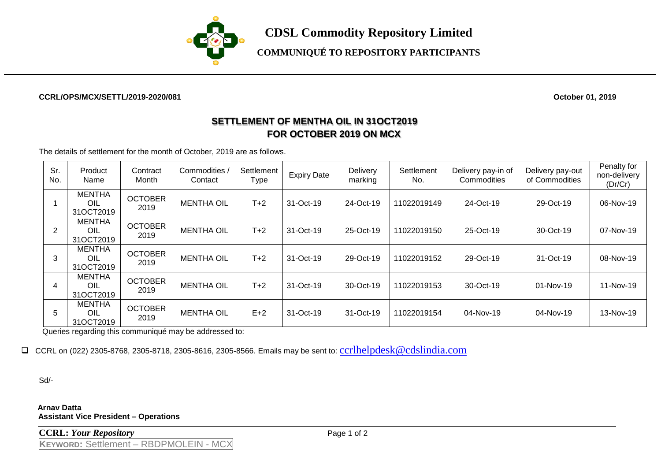

**COMMUNIQUÉ TO REPOSITORY PARTICIPANTS**

## **CCRL/OPS/MCX/SETTL/2019-2020/081 October 01, 2019**

## **SETTLEMENT OF MENTHA OIL IN 31OCT2019 FOR OCTOBER 2019 ON MCX**

The details of settlement for the month of October, 2019 are as follows.

| Sr.<br>No. | Product<br>Name                   | Contract<br>Month      | Commodities<br>Contact | Settlement<br>Type | <b>Expiry Date</b> | Delivery<br>marking | Settlement<br>No. | Delivery pay-in of<br>Commodities | Delivery pay-out<br>of Commodities | Penalty for<br>non-delivery<br>(Dr/Cr) |
|------------|-----------------------------------|------------------------|------------------------|--------------------|--------------------|---------------------|-------------------|-----------------------------------|------------------------------------|----------------------------------------|
|            | <b>MENTHA</b><br>OIL<br>31OCT2019 | <b>OCTOBER</b><br>2019 | <b>MENTHA OIL</b>      | $T+2$              | 31-Oct-19          | 24-Oct-19           | 11022019149       | 24-Oct-19                         | 29-Oct-19                          | 06-Nov-19                              |
| 2          | <b>MENTHA</b><br>OIL<br>31OCT2019 | <b>OCTOBER</b><br>2019 | <b>MENTHA OIL</b>      | $T+2$              | 31-Oct-19          | 25-Oct-19           | 11022019150       | 25-Oct-19                         | 30-Oct-19                          | 07-Nov-19                              |
| 3          | <b>MENTHA</b><br>OIL<br>31OCT2019 | <b>OCTOBER</b><br>2019 | <b>MENTHA OIL</b>      | $T+2$              | 31-Oct-19          | 29-Oct-19           | 11022019152       | 29-Oct-19                         | 31-Oct-19                          | 08-Nov-19                              |
| 4          | <b>MENTHA</b><br>OIL<br>31OCT2019 | <b>OCTOBER</b><br>2019 | <b>MENTHA OIL</b>      | $T+2$              | 31-Oct-19          | 30-Oct-19           | 11022019153       | 30-Oct-19                         | $01-Nov-19$                        | 11-Nov-19                              |
| 5          | <b>MENTHA</b><br>OIL<br>31OCT2019 | <b>OCTOBER</b><br>2019 | <b>MENTHA OIL</b>      | $E+2$              | 31-Oct-19          | 31-Oct-19           | 11022019154       | 04-Nov-19                         | 04-Nov-19                          | 13-Nov-19                              |

Queries regarding this communiqué may be addressed to:

□ CCRL on (022) 2305-8768, 2305-8718, 2305-8616, 2305-8566. Emails may be sent to: [ccrlhelpdesk@cdslindia.com](mailto:ccrlhelpdesk@cdslindia.com)

Sd/-

**Arnav Datta Assistant Vice President – Operations**

**CCRL:** *Your Repository* Page 1 of 2 **KEYWORD:** Settlement – RBDPMOLEIN - MCX